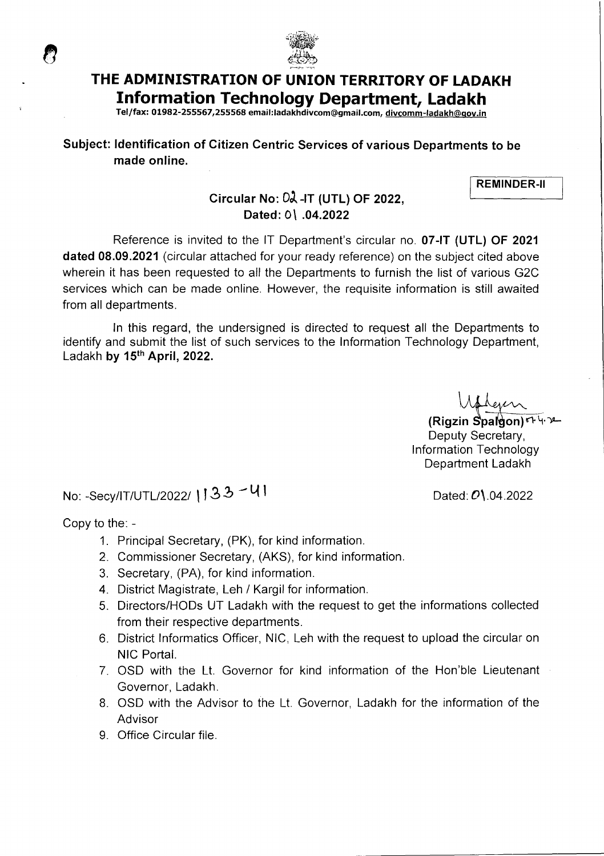

# **THE ADMINISTRATION OF UNION TERRITORY OF LADAKH Information Technology Department, Ladakh**

**Tel/fax: 01982-255567,255568 email:ladakhdivcom@gmaiI.com, divcomm-ladakh©qov.in** 

### **Subject: Identification of Citizen Centric Services of various Departments to be made online.**

**REMINDER-Il** 

### **Circular No: 02 - IT (UTL) OF 2022, Dated:** 01 **.04.2022**

Reference is invited to the IT Department's circular no. **07-IT (UTL) OF 2021 dated 08.09.2021** (circular attached for your ready reference) on the subject cited above wherein it has been requested to all the Departments to furnish the list of various G2C services which can be made online. However, the requisite information is still awaited from all departments.

In this regard, the undersigned is directed to request all the Departments to identify and submit the list of such services to the Information Technology Department, Ladakh **by 15th April, 2022.** 

**(Rigzin Spalgon)**ণ দ'লা Deputy Secretary, Information Technology Department Ladakh

No: -Secy/IT/UTL/2022/  $133 - 41$ . Dated: 0\.04.2022

Copy to the: -

ි

- 1. Principal Secretary, (PK), for kind information.
- 2. Commissioner Secretary, (AKS), for kind information.
- 3. Secretary, (PA), for kind information.
- 4. District Magistrate, Leh / Kargil for information.
- 5. Directors/HODs UT Ladakh with the request to get the informations collected from their respective departments.
- 6. District Informatics Officer, NIC, Leh with the request to upload the circular on NIC Portal.
- 7. OSD with the Lt. Governor for kind information of the Hon'ble Lieutenant Governor, Ladakh.
- 8. OSD with the Advisor to the Lt. Governor, Ladakh for the information of the **Advisor**
- 9. Office Circular file.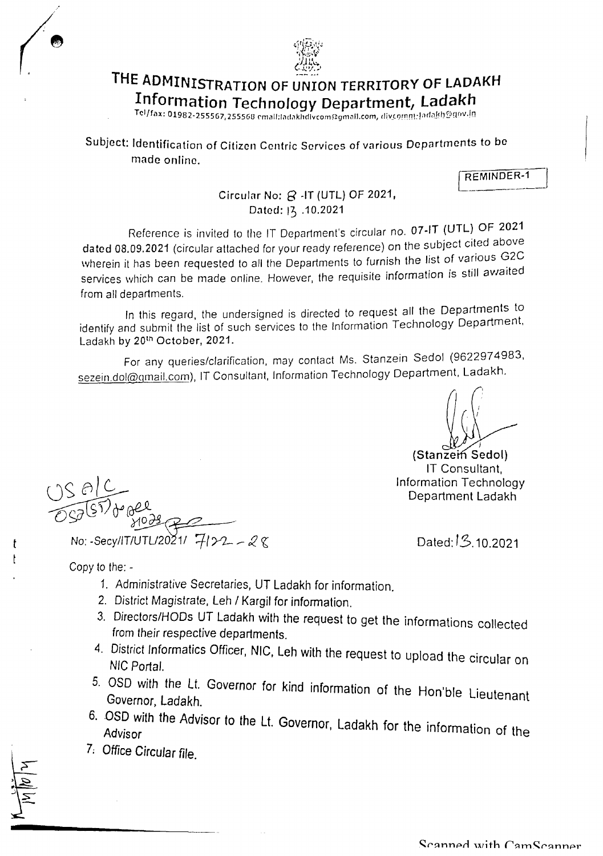

# THE ADMINISTRATION OF UNION TERRITORY OF LADAKH **Information Technology Department, Ladakh**

 $Tel/fax: 01982-255567, 255568$  cmall; ladakhdivcom@gmall.com, d

Subject: Identification of Citizen Centric Services of various Departments to be made online.

REMINDER-I

#### Circular No:  $\beta$  -IT (UTL) OF 2021, Dated: 13 .10.2021

Reference is invited to the IT Department's circular no. 07-IT (UTL) OF 2021 dated 08.09.2021 (circular attached for your ready reference) on the subject cited above wherein it has been requested to all the Departments to furnish the list of various G2C services which can be made online. However, the requisite information is still awaited from all departments.

In this regard, the undersigned is directed to request all the Departments to identify and submit the list of such services to the Information Technology Department, Ladakh by 20<sup>th</sup> October, 2021.

For any queries/clarification, may contact Ms. Stanzein Sedol (9622974983 sezein.dol@gmail.com), IT Consultant, Information Technology Department, Ladakh.

(Stanzein Sedol) IT Consultant, Information Technology Department Ladakh

Dated: IS. 10.2021

Copy to the: -

t

- 1. Administrative Secretaries, UT Ladakh for information.
- 2. District Magistrate, Leh / Kargil for information.
- 3. Directors/HODs UT Ladakh with the request to get the informations collected from their respective departments.
- 4. District lnformatics Officer, **NIC, Leh** with the request to upload the circular on NIC Portal.
- 5. OSD with the Lt. Governor for kind information of the Hon'ble Lieutenant Governor, Ladakh.
- 6. OSD with the Advisor to the Lt. Governor, Ladakh for the information of the Advisor
- 7. Office Circular file.

No: -Secy/IT/UTL/2021/ 7/22 - 28